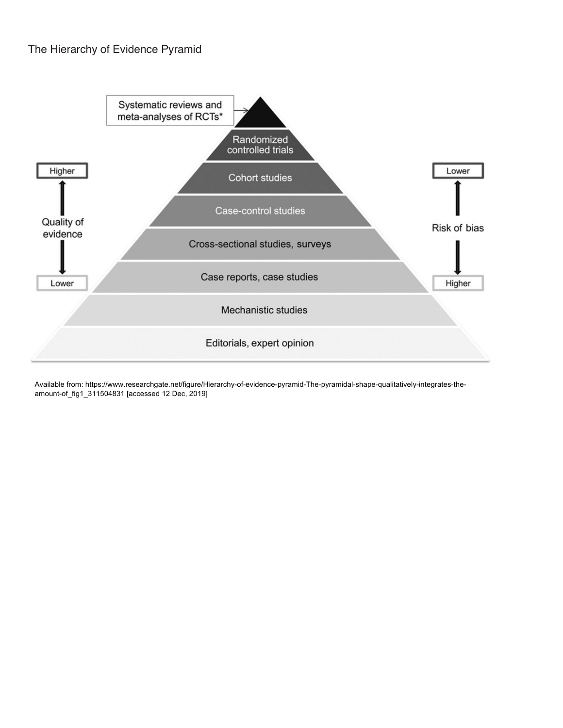# The Hierarchy of Evidence Pyramid



Available from: https://www.researchgate.net/figure/Hierarchy-of-evidence-pyramid-The-pyramidal-shape-qualitatively-integrates-theamount-of\_fig1\_311504831 [accessed 12 Dec, 2019]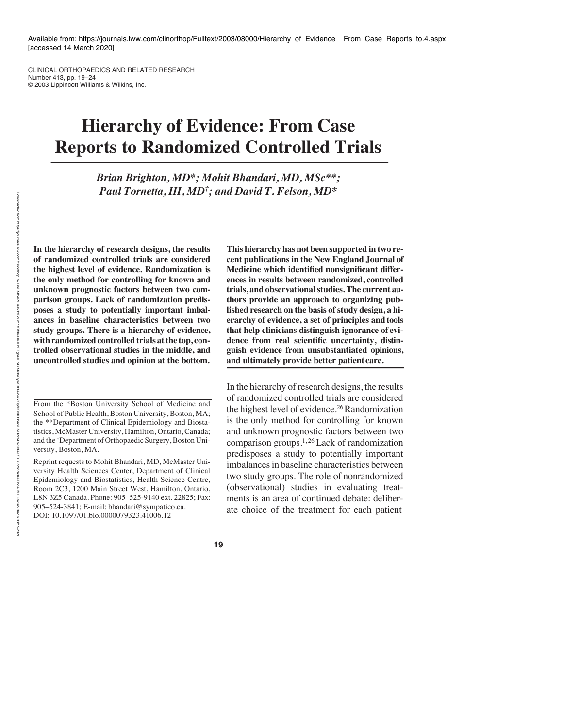CLINICAL ORTHOPAEDICS AND RELATED RESEARCH Number 413, pp. 19–24 © 2003 Lippincott Williams & Wilkins, Inc.

# **Hierarchy of Evidence: From Case Reports to Randomized Controlled Trials**

*Brian Brighton, MD\*; Mohit Bhandari, MD, MSc\*\*; Paul Tornetta, III, MD†; and David T. Felson, MD\**

**In the hierarchy of research designs, the results of randomized controlled trials are considered the highest level of evidence. Randomization is the only method for controlling for known and unknown prognostic factors between two comparison groups. Lack of randomization predisposes a study to potentially important imbalances in baseline characteristics between two study groups. There is a hierarchy of evidence, with randomized controlled trials atthe top, controlled observational studies in the middle, and uncontrolled studies and opinion at the bottom.**

Reprint requests to Mohit Bhandari, MD, McMaster University Health Sciences Center, Department of Clinical Epidemiology and Biostatistics, Health Science Centre, Room 2C3, 1200 Main Street West, Hamilton, Ontario, L8N 3Z5 Canada. Phone: 905–525-9140 ext. 22825; Fax: 905–524-3841; E-mail: [bhandari@sympatico.ca.](mailto:bhandari@sympatico.ca) DOI: 10.1097/01.blo.0000079323.41006.12

**This hierarchy has not been supported in two recent publications in the New England Journal of Medicine which identified nonsignificant differences in results between randomized, controlled trials, and observationalstudies.The current authors provide an approach to organizing pub**lished research on the basis of study design, a hi**erarchy of evidence, a set of principles and tools that help clinicians distinguish ignorance of evidence from real scientific uncertainty, distinguish evidence from unsubstantiated opinions, and ultimately provide better patient care.**

In the hierarchy of research designs, the results of randomized controlled trials are considered the highest level of evidence.<sup>26</sup> Randomization is the only method for controlling for known and unknown prognostic factors between two comparison groups.1, <sup>26</sup> Lack of randomization predisposes a study to potentially important imbalances in baseline characteristics between two study groups. The role of nonrandomized (observational) studies in evaluating treatments is an area of continued debate: deliberate choice of the treatment for each patient

From the \*Boston University School of Medicine and School of Public Health, Boston University, Boston, MA; the \*\*Department of Clinical Epidemiology and Biostatistics, McMaster University, Hamilton, Ontario, Canada; and the †Department of Orthopaedic Surgery, Boston University, Boston, MA.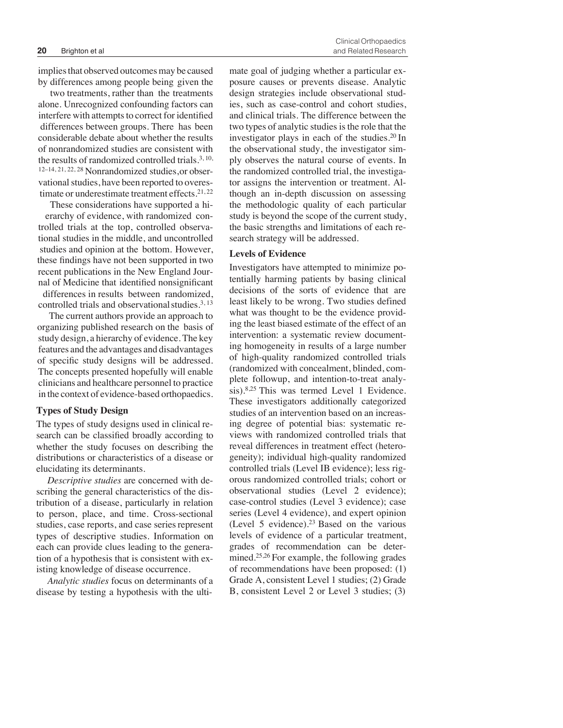implies that observed outcomes may be caused by differences among people being given the

two treatments, rather than the treatments alone. Unrecognized confounding factors can interfere with attempts to correct for identified differences between groups. There has been considerable debate about whether the results of nonrandomized studies are consistent with the results of randomized controlled trials.<sup>3, 10,</sup> 12–14, 21, 22, 28 Nonrandomized studies,or observational studies, have been reported to overestimate or underestimate treatment effects.<sup>21,22</sup>

These considerations have supported a hierarchy of evidence, with randomized controlled trials at the top, controlled observational studies in the middle, and uncontrolled studies and opinion at the bottom. However, these findings have not been supported in two recent publications in the New England Journal of Medicine that identified nonsignificant differences in results between randomized, controlled trials and observational studies.<sup>3, 13</sup>

The current authors provide an approach to organizing published research on the basis of study design, a hierarchy of evidence. The key features and the advantages and disadvantages of specific study designs will be addressed. The concepts presented hopefully will enable clinicians and healthcare personnel to practice in the context of evidence-based orthopaedics.

#### **Types of Study Design**

The types of study designs used in clinical research can be classified broadly according to whether the study focuses on describing the distributions or characteristics of a disease or elucidating its determinants.

*Descriptive studies* are concerned with describing the general characteristics of the distribution of a disease, particularly in relation to person, place, and time. Cross-sectional studies, case reports, and case series represent types of descriptive studies. Information on each can provide clues leading to the generation of a hypothesis that is consistent with existing knowledge of disease occurrence.

*Analytic studies* focus on determinants of a disease by testing a hypothesis with the ultimate goal of judging whether a particular exposure causes or prevents disease. Analytic design strategies include observational studies, such as case-control and cohort studies, and clinical trials. The difference between the two types of analytic studies is the role that the investigator plays in each of the studies.20 In the observational study, the investigator simply observes the natural course of events. In the randomized controlled trial, the investigator assigns the intervention or treatment. Although an in-depth discussion on assessing the methodologic quality of each particular study is beyond the scope of the current study, the basic strengths and limitations of each research strategy will be addressed.

# **Levels of Evidence**

Investigators have attempted to minimize potentially harming patients by basing clinical decisions of the sorts of evidence that are least likely to be wrong. Two studies defined what was thought to be the evidence providing the least biased estimate of the effect of an intervention: a systematic review documenting homogeneity in results of a large number of high-quality randomized controlled trials (randomized with concealment, blinded, complete followup, and intention-to-treat analysis).8,25 This was termed Level 1 Evidence. These investigators additionally categorized studies of an intervention based on an increasing degree of potential bias: systematic reviews with randomized controlled trials that reveal differences in treatment effect (heterogeneity); individual high-quality randomized controlled trials (Level IB evidence); less rigorous randomized controlled trials; cohort or observational studies (Level 2 evidence); case-control studies (Level 3 evidence); case series (Level 4 evidence), and expert opinion (Level 5 evidence).23 Based on the various levels of evidence of a particular treatment, grades of recommendation can be determined.<sup>25,26</sup> For example, the following grades of recommendations have been proposed: (1) Grade A, consistent Level 1 studies; (2) Grade B, consistent Level 2 or Level 3 studies; (3)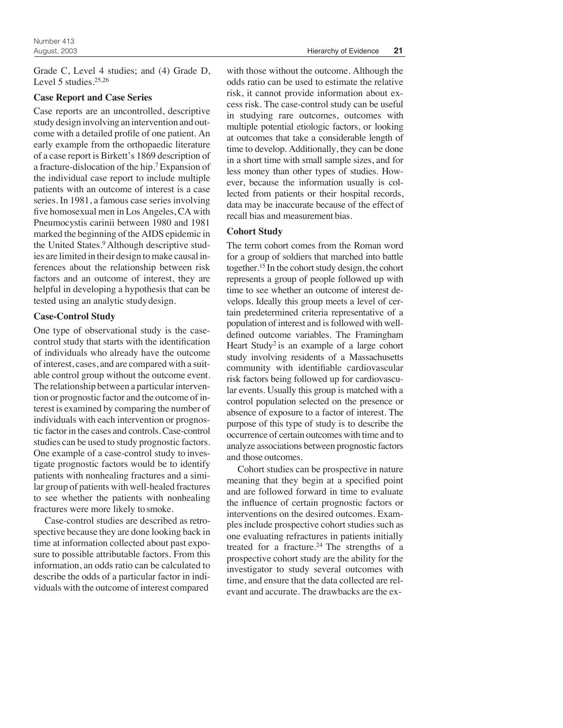Grade C, Level 4 studies; and (4) Grade D, Level 5 studies.25,26

# **Case Report and Case Series**

Case reports are an uncontrolled, descriptive study design involving an intervention and outcome with a detailed profile of one patient. An early example from the orthopaedic literature of a case report is Birkett's 1869 description of a fracture-dislocation of the hip.7Expansion of the individual case report to include multiple patients with an outcome of interest is a case series. In 1981, a famous case series involving five homosexual men in Los Angeles, CA with Pneumocystis carinii between 1980 and 1981 marked the beginning of the AIDS epidemic in the United States.<sup>9</sup> Although descriptive studies are limited in their design tomake causal inferences about the relationship between risk factors and an outcome of interest, they are helpful in developing a hypothesis that can be tested using an analytic studydesign.

## **Case-Control Study**

One type of observational study is the casecontrol study that starts with the identification of individuals who already have the outcome of interest, cases, and are compared with a suitable control group without the outcome event. The relationship between a particular intervention or prognostic factor and the outcome of interest is examined by comparing the number of individuals with each intervention or prognostic factor in the cases and controls. Case-control studies can be used to study prognostic factors. One example of a case-control study to investigate prognostic factors would be to identify patients with nonhealing fractures and a similar group of patients with well-healed fractures to see whether the patients with nonhealing fractures were more likely to smoke.

Case-control studies are described as retrospective because they are done looking back in time at information collected about past exposure to possible attributable factors. From this information, an odds ratio can be calculated to describe the odds of a particular factor in individuals with the outcome of interest compared

with those without the outcome. Although the odds ratio can be used to estimate the relative risk, it cannot provide information about excess risk. The case-control study can be useful in studying rare outcomes, outcomes with multiple potential etiologic factors, or looking at outcomes that take a considerable length of time to develop. Additionally, they can be done in a short time with small sample sizes, and for less money than other types of studies. However, because the information usually is collected from patients or their hospital records, data may be inaccurate because of the effect of recall bias and measurement bias.

#### **Cohort Study**

The term cohort comes from the Roman word for a group of soldiers that marched into battle together.<sup>15</sup> In the cohort study design, the cohort represents a group of people followed up with time to see whether an outcome of interest develops. Ideally this group meets a level of certain predetermined criteria representative of a population of interest and is followed with welldefined outcome variables. The Framingham Heart Study<sup>2</sup> is an example of a large cohort study involving residents of a Massachusetts community with identifiable cardiovascular risk factors being followed up for cardiovascular events. Usually this group is matched with a control population selected on the presence or absence of exposure to a factor of interest. The purpose of this type of study is to describe the occurrence of certain outcomes with time and to analyze associations between prognostic factors and those outcomes.

Cohort studies can be prospective in nature meaning that they begin at a specified point and are followed forward in time to evaluate the influence of certain prognostic factors or interventions on the desired outcomes. Examples include prospective cohort studies such as one evaluating refractures in patients initially treated for a fracture.24 The strengths of a prospective cohort study are the ability for the investigator to study several outcomes with time, and ensure that the data collected are relevant and accurate. The drawbacks are the ex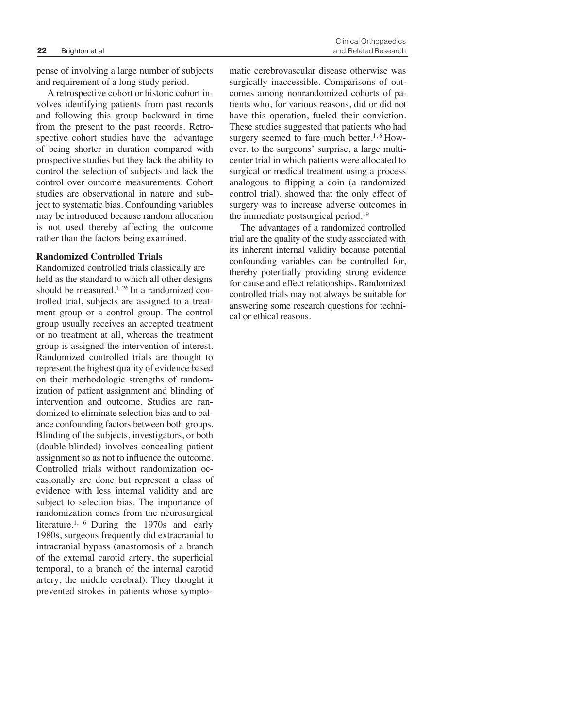pense of involving a large number of subjects and requirement of a long study period.

A retrospective cohort or historic cohort involves identifying patients from past records and following this group backward in time from the present to the past records. Retrospective cohort studies have the advantage of being shorter in duration compared with prospective studies but they lack the ability to control the selection of subjects and lack the control over outcome measurements. Cohort studies are observational in nature and subject to systematic bias. Confounding variables may be introduced because random allocation is not used thereby affecting the outcome rather than the factors being examined.

### **Randomized Controlled Trials**

Randomized controlled trials classically are held as the standard to which all other designs should be measured.<sup>1, 26</sup> In a randomized controlled trial, subjects are assigned to a treatment group or a control group. The control group usually receives an accepted treatment or no treatment at all, whereas the treatment group is assigned the intervention of interest. Randomized controlled trials are thought to represent the highest quality of evidence based on their methodologic strengths of randomization of patient assignment and blinding of intervention and outcome. Studies are randomized to eliminate selection bias and to balance confounding factors between both groups. Blinding of the subjects, investigators, or both (double-blinded) involves concealing patient assignment so as not to influence the outcome. Controlled trials without randomization occasionally are done but represent a class of evidence with less internal validity and are subject to selection bias. The importance of randomization comes from the neurosurgical literature.<sup>1, 6</sup> During the 1970s and early 1980s, surgeons frequently did extracranial to intracranial bypass (anastomosis of a branch of the external carotid artery, the superficial temporal, to a branch of the internal carotid artery, the middle cerebral). They thought it prevented strokes in patients whose symptomatic cerebrovascular disease otherwise was surgically inaccessible. Comparisons of outcomes among nonrandomized cohorts of patients who, for various reasons, did or did not have this operation, fueled their conviction. These studies suggested that patients who had surgery seemed to fare much better.<sup>1, 6</sup> However, to the surgeons' surprise, a large multicenter trial in which patients were allocated to surgical or medical treatment using a process analogous to flipping a coin (a randomized control trial), showed that the only effect of surgery was to increase adverse outcomes in the immediate postsurgical period.19

The advantages of a randomized controlled trial are the quality of the study associated with its inherent internal validity because potential confounding variables can be controlled for, thereby potentially providing strong evidence for cause and effect relationships. Randomized controlled trials may not always be suitable for answering some research questions for technical or ethical reasons.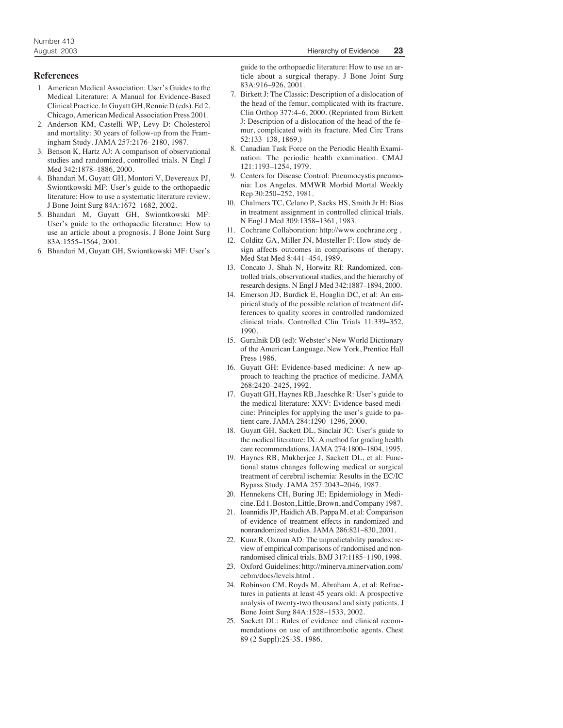#### **References**

- 1. American Medical Association: User's Guides to the Medical Literature: A Manual for Evidence-Based Clinical Practice.In Guyatt GH,Rennie D (eds).Ed 2. Chicago, American Medical Association Press 2001.
- 2. Anderson KM, Castelli WP, Levy D: Cholesterol and mortality: 30 years of follow-up from the Framingham Study. JAMA 257:2176–2180, 1987.
- 3. Benson K, Hartz AJ: A comparison of observational studies and randomized, controlled trials. N Engl J Med 342:1878–1886, 2000.
- 4. Bhandari M, Guyatt GH, Montori V, Devereaux PJ, Swiontkowski MF: User's guide to the orthopaedic literature: How to use a systematic literature review. J Bone Joint Surg 84A:1672–1682, 2002.
- 5. Bhandari M, Guyatt GH, Swiontkowski MF: User's guide to the orthopaedic literature: How to use an article about a prognosis. J Bone Joint Surg 83A:1555–1564, 2001.
- 6. Bhandari M, Guyatt GH, Swiontkowski MF: User's

guide to the orthopaedic literature: How to use an article about a surgical therapy. J Bone Joint Surg 83A:916–926, 2001.

- 7. BirkettJ: The Classic: Description of a dislocation of the head of the femur, complicated with its fracture. Clin Orthop 377:4–6, 2000. (Reprinted from Birkett J: Description of a dislocation of the head of the femur, complicated with its fracture. Med Circ Trans 52:133–138, 1869.)
- 8. Canadian Task Force on the Periodic Health Examination: The periodic health examination. CMAJ 121:1193–1254, 1979.
- 9. Centers for Disease Control: Pneumocystis pneumonia: Los Angeles. MMWR Morbid Mortal Weekly Rep 30:250–252, 1981.
- 10. Chalmers TC, Celano P, Sacks HS, Smith Jr H: Bias in treatment assignment in controlled clinical trials. N Engl J Med 309:1358–1361, 1983.
- 11. Cochrane Collaboration: [http://www.cochrane.org](http://www.cochrane.org/) .
- 12. Colditz GA, Miller JN, Mosteller F: How study design affects outcomes in comparisons of therapy. Med Stat Med 8:441–454, 1989.
- 13. Concato J, Shah N, Horwitz RI: Randomized, controlled trials, observational studies, and the hierarchy of research designs. N EnglJ Med 342:1887–1894, 2000.
- 14. Emerson JD, Burdick E, Hoaglin DC, et al: An empirical study of the possible relation of treatment differences to quality scores in controlled randomized clinical trials. Controlled Clin Trials 11:339–352, 1990.
- 15. Guralnik DB (ed): Webster's New World Dictionary of the American Language. New York, Prentice Hall Press 1986.
- 16. Guyatt GH: Evidence-based medicine: A new approach to teaching the practice of medicine. JAMA 268:2420–2425, 1992.
- 17. Guyatt GH, Haynes RB, Jaeschke R: User's guide to the medical literature: XXV: Evidence-based medicine: Principles for applying the user's guide to patient care. JAMA 284:1290–1296, 2000.
- 18. Guyatt GH, Sackett DL, Sinclair JC: User's guide to the medical literature: IX: A method for grading health care recommendations. JAMA 274:1800–1804, 1995.
- 19. Haynes RB, Mukherjee J, Sackett DL, et al: Functional status changes following medical or surgical treatment of cerebral ischemia: Results in the EC/IC Bypass Study. JAMA 257:2043–2046, 1987.
- 20. Hennekens CH, Buring JE: Epidemiology in Medicine.Ed 1.Boston,Little,Brown, andCompany1987.
- 21. IoannidisJP, Haidich AB, Pappa M, et al: Comparison of evidence of treatment effects in randomized and nonrandomized studies. JAMA 286:821–830, 2001.
- 22. Kunz R, Oxman AD: The unpredictability paradox: review of empirical comparisons of randomised and nonrandomised clinical trials. BMJ 317:1185–1190, 1998.
- 23. Oxford Guidelines: <http://minerva.minervation.com/> cebm/docs/levels.html .
- 24. Robinson CM, Royds M, Abraham A, et al: Refractures in patients at least 45 years old: A prospective analysis of twenty-two thousand and sixty patients. J Bone Joint Surg 84A:1528–1533, 2002.
- 25. Sackett DL: Rules of evidence and clinical recommendations on use of antithrombotic agents. Chest 89 (2 Suppl):2S-3S, 1986.